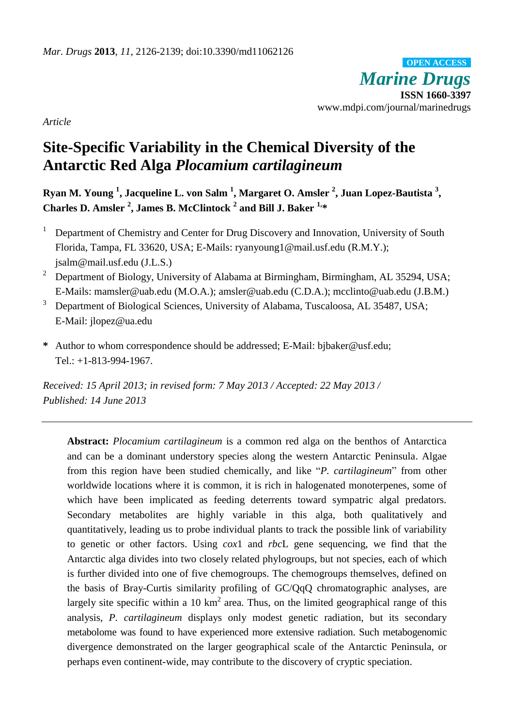*Marine Drugs* **ISSN 1660-3397** www.mdpi.com/journal/marinedrugs **OPEN ACCESS**

*Article*

# **Site-Specific Variability in the Chemical Diversity of the Antarctic Red Alga** *Plocamium cartilagineum*

**Ryan M. Young <sup>1</sup> , Jacqueline L. von Salm <sup>1</sup> , Margaret O. Amsler <sup>2</sup> , Juan Lopez-Bautista <sup>3</sup> , Charles D. Amsler <sup>2</sup> , James B. McClintock <sup>2</sup> and Bill J. Baker 1,\***

- <sup>1</sup> Department of Chemistry and Center for Drug Discovery and Innovation, University of South Florida, Tampa, FL 33620, USA; E-Mails: ryanyoung1@mail.usf.edu (R.M.Y.); jsalm@mail.usf.edu (J.L.S.)
- <sup>2</sup> Department of Biology, University of Alabama at Birmingham, Birmingham, AL 35294, USA; E-Mails: mamsler@uab.edu (M.O.A.); amsler@uab.edu (C.D.A.); mcclinto@uab.edu (J.B.M.)
- <sup>3</sup> Department of Biological Sciences, University of Alabama, Tuscaloosa, AL 35487, USA; E-Mail: jlopez@ua.edu
- **\*** Author to whom correspondence should be addressed; E-Mail: bjbaker@usf.edu; Tel.: +1-813-994-1967.

*Received: 15 April 2013; in revised form: 7 May 2013 / Accepted: 22 May 2013 / Published: 14 June 2013*

**Abstract:** *Plocamium cartilagineum* is a common red alga on the benthos of Antarctica and can be a dominant understory species along the western Antarctic Peninsula. Algae from this region have been studied chemically, and like "*P. cartilagineum*" from other worldwide locations where it is common, it is rich in halogenated monoterpenes, some of which have been implicated as feeding deterrents toward sympatric algal predators. Secondary metabolites are highly variable in this alga, both qualitatively and quantitatively, leading us to probe individual plants to track the possible link of variability to genetic or other factors. Using *cox*1 and *rbc*L gene sequencing, we find that the Antarctic alga divides into two closely related phylogroups, but not species, each of which is further divided into one of five chemogroups. The chemogroups themselves, defined on the basis of Bray-Curtis similarity profiling of GC/QqQ chromatographic analyses, are largely site specific within a 10  $km^2$  area. Thus, on the limited geographical range of this analysis, *P. cartilagineum* displays only modest genetic radiation, but its secondary metabolome was found to have experienced more extensive radiation. Such metabogenomic divergence demonstrated on the larger geographical scale of the Antarctic Peninsula, or perhaps even continent-wide, may contribute to the discovery of cryptic speciation.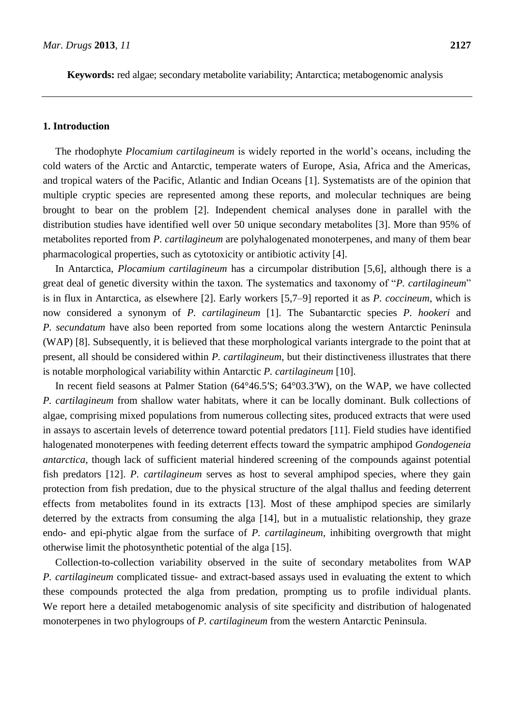**Keywords:** red algae; secondary metabolite variability; Antarctica; metabogenomic analysis

#### **1. Introduction**

The rhodophyte *Plocamium cartilagineum* is widely reported in the world's oceans, including the cold waters of the Arctic and Antarctic, temperate waters of Europe, Asia, Africa and the Americas, and tropical waters of the Pacific, Atlantic and Indian Oceans [1]. Systematists are of the opinion that multiple cryptic species are represented among these reports, and molecular techniques are being brought to bear on the problem [2]. Independent chemical analyses done in parallel with the distribution studies have identified well over 50 unique secondary metabolites [3]. More than 95% of metabolites reported from *P. cartilagineum* are polyhalogenated monoterpenes, and many of them bear pharmacological properties, such as cytotoxicity or antibiotic activity [4].

In Antarctica, *Plocamium cartilagineum* has a circumpolar distribution [5,6], although there is a great deal of genetic diversity within the taxon*.* The systematics and taxonomy of "*P. cartilagineum*" is in flux in Antarctica, as elsewhere [2]. Early workers [5,7–9] reported it as *P. coccineum*, which is now considered a synonym of *P. cartilagineum* [1]. The Subantarctic species *P. hookeri* and *P. secundatum* have also been reported from some locations along the western Antarctic Peninsula (WAP) [8]. Subsequently, it is believed that these morphological variants intergrade to the point that at present, all should be considered within *P. cartilagineum*, but their distinctiveness illustrates that there is notable morphological variability within Antarctic *P. cartilagineum* [10].

In recent field seasons at Palmer Station (64°46.5′S; 64°03.3′W), on the WAP, we have collected *P. cartilagineum* from shallow water habitats, where it can be locally dominant. Bulk collections of algae, comprising mixed populations from numerous collecting sites, produced extracts that were used in assays to ascertain levels of deterrence toward potential predators [11]. Field studies have identified halogenated monoterpenes with feeding deterrent effects toward the sympatric amphipod *Gondogeneia antarctica*, though lack of sufficient material hindered screening of the compounds against potential fish predators [12]. *P. cartilagineum* serves as host to several amphipod species, where they gain protection from fish predation, due to the physical structure of the algal thallus and feeding deterrent effects from metabolites found in its extracts [13]. Most of these amphipod species are similarly deterred by the extracts from consuming the alga [14], but in a mutualistic relationship, they graze endo- and epi-phytic algae from the surface of *P. cartilagineum*, inhibiting overgrowth that might otherwise limit the photosynthetic potential of the alga [15].

Collection-to-collection variability observed in the suite of secondary metabolites from WAP *P. cartilagineum* complicated tissue- and extract-based assays used in evaluating the extent to which these compounds protected the alga from predation, prompting us to profile individual plants. We report here a detailed metabogenomic analysis of site specificity and distribution of halogenated monoterpenes in two phylogroups of *P. cartilagineum* from the western Antarctic Peninsula.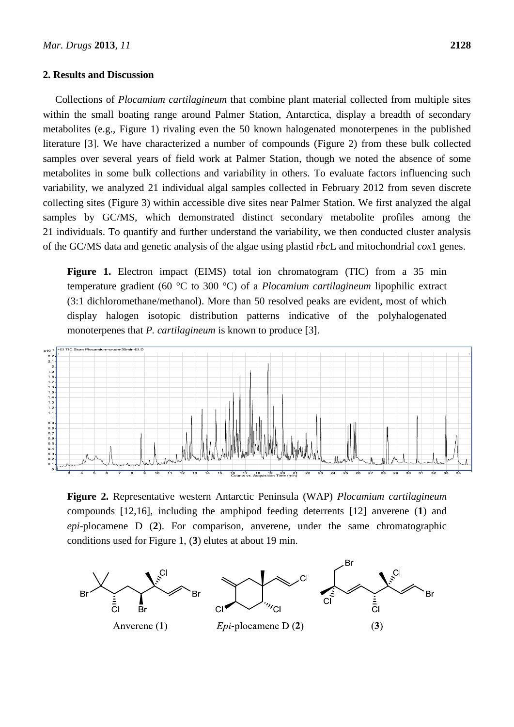#### **2. Results and Discussion**

Collections of *Plocamium cartilagineum* that combine plant material collected from multiple sites within the small boating range around Palmer Station, Antarctica, display a breadth of secondary metabolites (e.g., Figure 1) rivaling even the 50 known halogenated monoterpenes in the published literature [3]. We have characterized a number of compounds (Figure 2) from these bulk collected samples over several years of field work at Palmer Station, though we noted the absence of some metabolites in some bulk collections and variability in others. To evaluate factors influencing such variability, we analyzed 21 individual algal samples collected in February 2012 from seven discrete collecting sites (Figure 3) within accessible dive sites near Palmer Station. We first analyzed the algal samples by GC/MS, which demonstrated distinct secondary metabolite profiles among the 21 individuals. To quantify and further understand the variability, we then conducted cluster analysis of the GC/MS data and genetic analysis of the algae using plastid *rbc*L and mitochondrial *cox*1 genes.

Figure 1. Electron impact (EIMS) total ion chromatogram (TIC) from a 35 min temperature gradient (60 °C to 300 °C) of a *Plocamium cartilagineum* lipophilic extract (3:1 dichloromethane/methanol). More than 50 resolved peaks are evident, most of which display halogen isotopic distribution patterns indicative of the polyhalogenated monoterpenes that *P. cartilagineum* is known to produce [3].



**Figure 2.** Representative western Antarctic Peninsula (WAP) *Plocamium cartilagineum* compounds [12,16], including the amphipod feeding deterrents [12] anverene (**1**) and *epi*-plocamene D (**2**). For comparison, anverene, under the same chromatographic conditions used for Figure 1, (**3**) elutes at about 19 min.

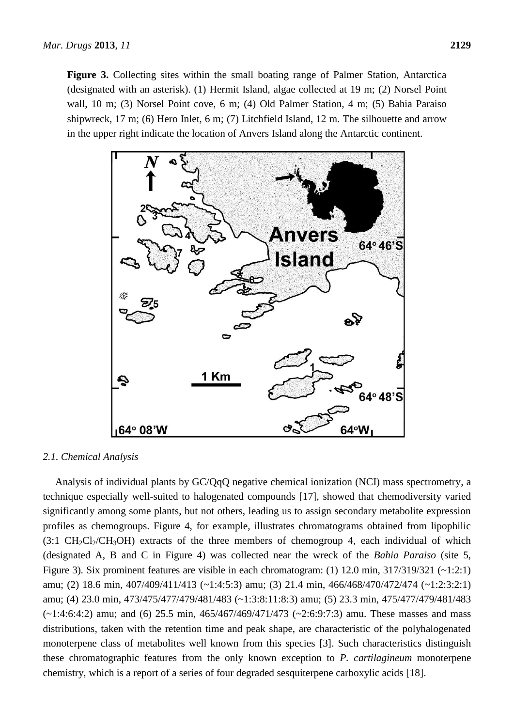**Figure 3.** Collecting sites within the small boating range of Palmer Station, Antarctica (designated with an asterisk). (1) Hermit Island, algae collected at 19 m; (2) Norsel Point wall, 10 m; (3) Norsel Point cove, 6 m; (4) Old Palmer Station, 4 m; (5) Bahia Paraiso shipwreck, 17 m; (6) Hero Inlet, 6 m; (7) Litchfield Island, 12 m. The silhouette and arrow in the upper right indicate the location of Anvers Island along the Antarctic continent.



#### *2.1. Chemical Analysis*

Analysis of individual plants by GC/QqQ negative chemical ionization (NCI) mass spectrometry, a technique especially well-suited to halogenated compounds [17], showed that chemodiversity varied significantly among some plants, but not others, leading us to assign secondary metabolite expression profiles as chemogroups. Figure 4, for example, illustrates chromatograms obtained from lipophilic  $(3:1 \text{ CH}_2\text{Cl}_2/\text{CH}_3\text{OH})$  extracts of the three members of chemogroup 4, each individual of which (designated A, B and C in Figure 4) was collected near the wreck of the *Bahia Paraiso* (site 5, Figure 3). Six prominent features are visible in each chromatogram: (1) 12.0 min, 317/319/321 (~1:2:1) amu; (2) 18.6 min, 407/409/411/413 (~1:4:5:3) amu; (3) 21.4 min, 466/468/470/472/474 (~1:2:3:2:1) amu; (4) 23.0 min, 473/475/477/479/481/483 (~1:3:8:11:8:3) amu; (5) 23.3 min, 475/477/479/481/483  $(-1:4:6:4:2)$  amu; and (6) 25.5 min, 465/467/469/471/473 ( $-2:6:9:7:3$ ) amu. These masses and mass distributions, taken with the retention time and peak shape, are characteristic of the polyhalogenated monoterpene class of metabolites well known from this species [3]. Such characteristics distinguish these chromatographic features from the only known exception to *P. cartilagineum* monoterpene chemistry, which is a report of a series of four degraded sesquiterpene carboxylic acids [18].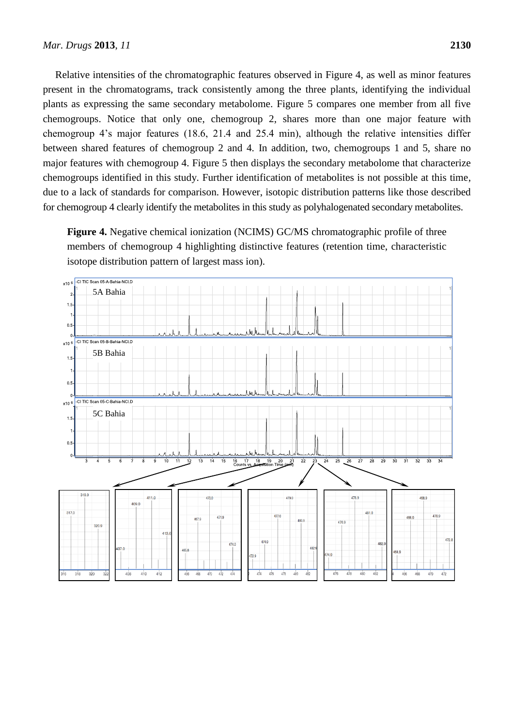Relative intensities of the chromatographic features observed in Figure 4, as well as minor features present in the chromatograms, track consistently among the three plants, identifying the individual plants as expressing the same secondary metabolome. Figure 5 compares one member from all five chemogroups. Notice that only one, chemogroup 2, shares more than one major feature with chemogroup 4's major features (18.6, 21.4 and 25.4 min), although the relative intensities differ between shared features of chemogroup 2 and 4. In addition, two, chemogroups 1 and 5, share no major features with chemogroup 4. Figure 5 then displays the secondary metabolome that characterize chemogroups identified in this study. Further identification of metabolites is not possible at this time, due to a lack of standards for comparison. However, isotopic distribution patterns like those described for chemogroup 4 clearly identify the metabolites in this study as polyhalogenated secondary metabolites.

**Figure 4.** Negative chemical ionization (NCIMS) GC/MS chromatographic profile of three members of chemogroup 4 highlighting distinctive features (retention time, characteristic isotope distribution pattern of largest mass ion).

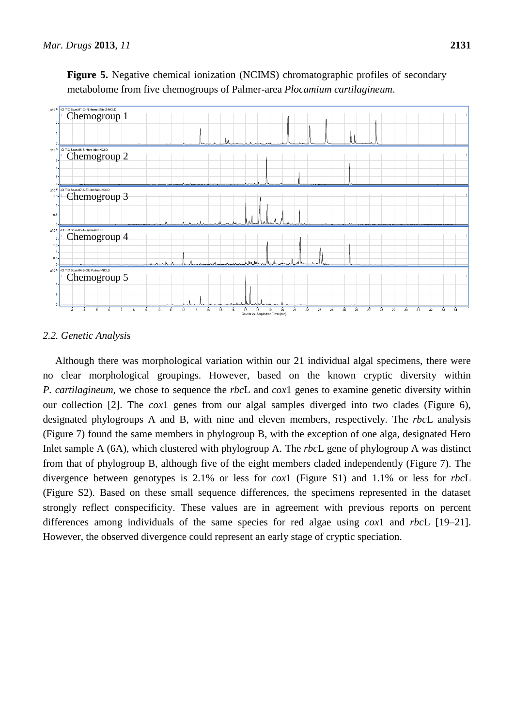

**Figure 5.** Negative chemical ionization (NCIMS) chromatographic profiles of secondary metabolome from five chemogroups of Palmer-area *Plocamium cartilagineum*.

## *2.2. Genetic Analysis*

Although there was morphological variation within our 21 individual algal specimens, there were no clear morphological groupings. However, based on the known cryptic diversity within *P. cartilagineum*, we chose to sequence the *rbc*L and *cox*1 genes to examine genetic diversity within our collection [2]. The *cox*1 genes from our algal samples diverged into two clades (Figure 6), designated phylogroups A and B, with nine and eleven members, respectively. The *rbc*L analysis (Figure 7) found the same members in phylogroup B, with the exception of one alga, designated Hero Inlet sample A (6A), which clustered with phylogroup A. The *rbc*L gene of phylogroup A was distinct from that of phylogroup B, although five of the eight members claded independently (Figure 7). The divergence between genotypes is 2.1% or less for *cox*1 (Figure S1) and 1.1% or less for *rbc*L (Figure S2). Based on these small sequence differences, the specimens represented in the dataset strongly reflect conspecificity. These values are in agreement with previous reports on percent differences among individuals of the same species for red algae using *cox*1 and *rbc*L [19–21]. However, the observed divergence could represent an early stage of cryptic speciation.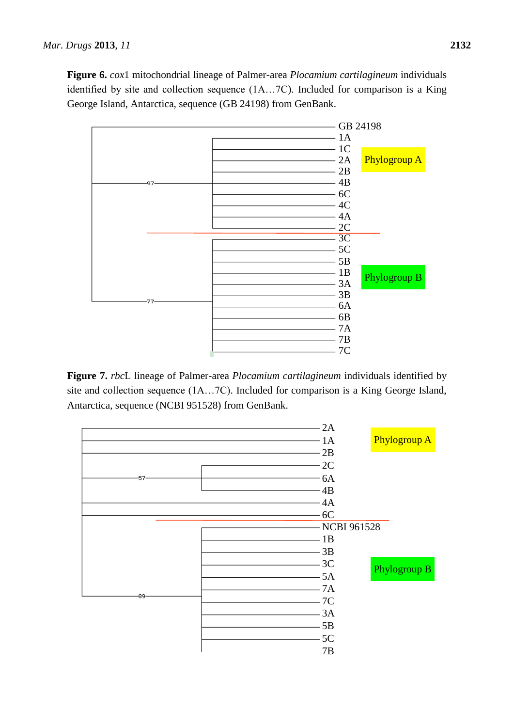**Figure 6.** *cox*1 mitochondrial lineage of Palmer-area *Plocamium cartilagineum* individuals identified by site and collection sequence (1A…7C). Included for comparison is a King George Island, Antarctica, sequence (GB 24198) from GenBank.



**Figure 7.** *rbc*L lineage of Palmer-area *Plocamium cartilagineum* individuals identified by site and collection sequence (1A…7C). Included for comparison is a King George Island, Antarctica, sequence (NCBI 951528) from GenBank.

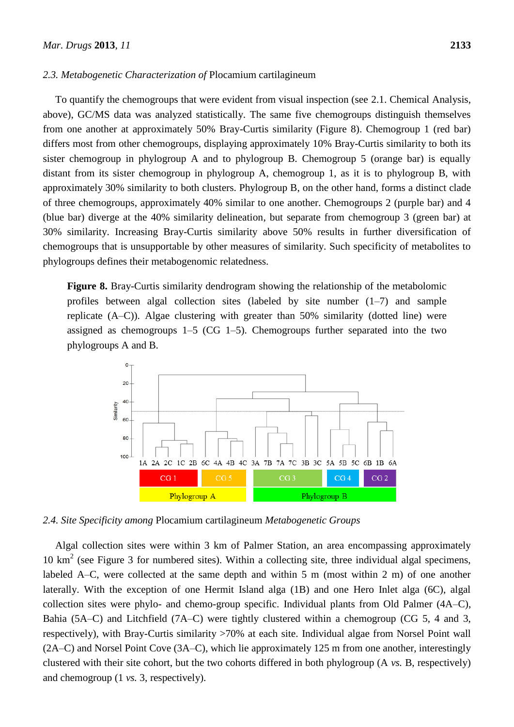#### *2.3. Metabogenetic Characterization of* Plocamium cartilagineum

To quantify the chemogroups that were evident from visual inspection (see 2.1. Chemical Analysis, above), GC/MS data was analyzed statistically. The same five chemogroups distinguish themselves from one another at approximately 50% Bray-Curtis similarity (Figure 8). Chemogroup 1 (red bar) differs most from other chemogroups, displaying approximately 10% Bray-Curtis similarity to both its sister chemogroup in phylogroup A and to phylogroup B. Chemogroup 5 (orange bar) is equally distant from its sister chemogroup in phylogroup A, chemogroup 1, as it is to phylogroup B, with approximately 30% similarity to both clusters. Phylogroup B, on the other hand, forms a distinct clade of three chemogroups, approximately 40% similar to one another. Chemogroups 2 (purple bar) and 4 (blue bar) diverge at the 40% similarity delineation, but separate from chemogroup 3 (green bar) at 30% similarity. Increasing Bray-Curtis similarity above 50% results in further diversification of chemogroups that is unsupportable by other measures of similarity. Such specificity of metabolites to phylogroups defines their metabogenomic relatedness.

**Figure 8.** Bray-Curtis similarity dendrogram showing the relationship of the metabolomic profiles between algal collection sites (labeled by site number  $(1-7)$ ) and sample replicate (A–C)). Algae clustering with greater than 50% similarity (dotted line) were assigned as chemogroups 1–5 (CG 1–5). Chemogroups further separated into the two phylogroups A and B.



*2.4. Site Specificity among* Plocamium cartilagineum *Metabogenetic Groups*

Algal collection sites were within 3 km of Palmer Station, an area encompassing approximately 10 km 2 (see Figure 3 for numbered sites). Within a collecting site, three individual algal specimens, labeled A–C, were collected at the same depth and within 5 m (most within 2 m) of one another laterally. With the exception of one Hermit Island alga (1B) and one Hero Inlet alga (6C), algal collection sites were phylo- and chemo-group specific. Individual plants from Old Palmer (4A–C), Bahia (5A–C) and Litchfield (7A–C) were tightly clustered within a chemogroup (CG 5, 4 and 3, respectively), with Bray-Curtis similarity >70% at each site. Individual algae from Norsel Point wall (2A–C) and Norsel Point Cove (3A–C), which lie approximately 125 m from one another, interestingly clustered with their site cohort, but the two cohorts differed in both phylogroup (A *vs.* B, respectively) and chemogroup (1 *vs.* 3, respectively).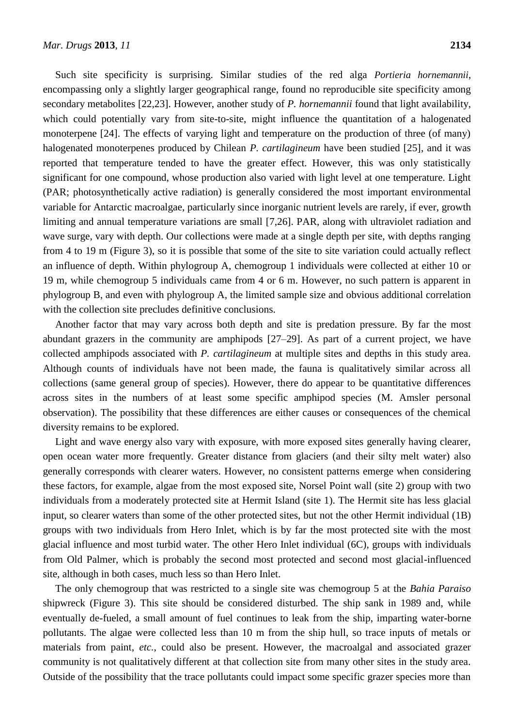Such site specificity is surprising. Similar studies of the red alga *Portieria hornemannii*, encompassing only a slightly larger geographical range, found no reproducible site specificity among secondary metabolites [22,23]. However, another study of *P. hornemannii* found that light availability, which could potentially vary from site-to-site, might influence the quantitation of a halogenated monoterpene [24]. The effects of varying light and temperature on the production of three (of many) halogenated monoterpenes produced by Chilean *P. cartilagineum* have been studied [25], and it was reported that temperature tended to have the greater effect. However, this was only statistically significant for one compound, whose production also varied with light level at one temperature. Light (PAR; photosynthetically active radiation) is generally considered the most important environmental variable for Antarctic macroalgae, particularly since inorganic nutrient levels are rarely, if ever, growth limiting and annual temperature variations are small [7,26]. PAR, along with ultraviolet radiation and wave surge, vary with depth. Our collections were made at a single depth per site, with depths ranging from 4 to 19 m (Figure 3), so it is possible that some of the site to site variation could actually reflect an influence of depth. Within phylogroup A, chemogroup 1 individuals were collected at either 10 or 19 m, while chemogroup 5 individuals came from 4 or 6 m. However, no such pattern is apparent in phylogroup B, and even with phylogroup A, the limited sample size and obvious additional correlation with the collection site precludes definitive conclusions.

Another factor that may vary across both depth and site is predation pressure. By far the most abundant grazers in the community are amphipods [27–29]. As part of a current project, we have collected amphipods associated with *P. cartilagineum* at multiple sites and depths in this study area. Although counts of individuals have not been made, the fauna is qualitatively similar across all collections (same general group of species). However, there do appear to be quantitative differences across sites in the numbers of at least some specific amphipod species (M. Amsler personal observation). The possibility that these differences are either causes or consequences of the chemical diversity remains to be explored.

Light and wave energy also vary with exposure, with more exposed sites generally having clearer, open ocean water more frequently. Greater distance from glaciers (and their silty melt water) also generally corresponds with clearer waters. However, no consistent patterns emerge when considering these factors, for example, algae from the most exposed site, Norsel Point wall (site 2) group with two individuals from a moderately protected site at Hermit Island (site 1). The Hermit site has less glacial input, so clearer waters than some of the other protected sites, but not the other Hermit individual (1B) groups with two individuals from Hero Inlet, which is by far the most protected site with the most glacial influence and most turbid water. The other Hero Inlet individual (6C), groups with individuals from Old Palmer, which is probably the second most protected and second most glacial-influenced site, although in both cases, much less so than Hero Inlet.

The only chemogroup that was restricted to a single site was chemogroup 5 at the *Bahia Paraiso* shipwreck (Figure 3). This site should be considered disturbed. The ship sank in 1989 and, while eventually de-fueled, a small amount of fuel continues to leak from the ship, imparting water-borne pollutants. The algae were collected less than 10 m from the ship hull, so trace inputs of metals or materials from paint, *etc.*, could also be present. However, the macroalgal and associated grazer community is not qualitatively different at that collection site from many other sites in the study area. Outside of the possibility that the trace pollutants could impact some specific grazer species more than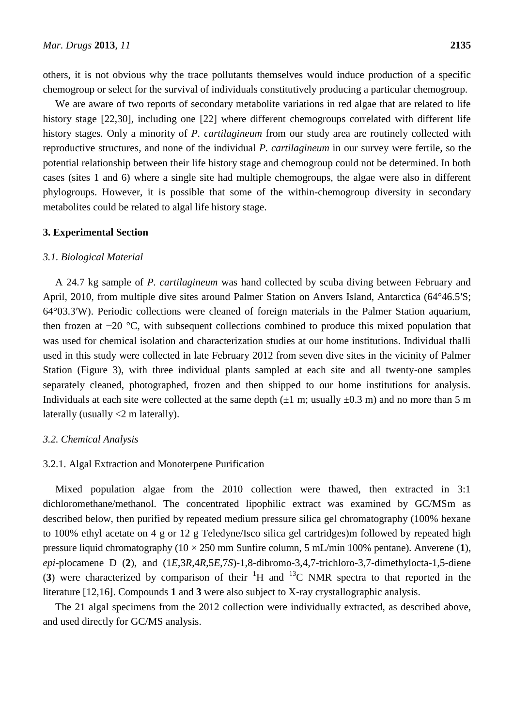others, it is not obvious why the trace pollutants themselves would induce production of a specific chemogroup or select for the survival of individuals constitutively producing a particular chemogroup.

We are aware of two reports of secondary metabolite variations in red algae that are related to life history stage [22,30], including one [22] where different chemogroups correlated with different life history stages. Only a minority of *P. cartilagineum* from our study area are routinely collected with reproductive structures, and none of the individual *P. cartilagineum* in our survey were fertile, so the potential relationship between their life history stage and chemogroup could not be determined. In both cases (sites 1 and 6) where a single site had multiple chemogroups, the algae were also in different phylogroups. However, it is possible that some of the within-chemogroup diversity in secondary metabolites could be related to algal life history stage.

#### **3. Experimental Section**

#### *3.1. Biological Material*

A 24.7 kg sample of *P. cartilagineum* was hand collected by scuba diving between February and April, 2010, from multiple dive sites around Palmer Station on Anvers Island, Antarctica (64°46.5′S; 64°03.3′W). Periodic collections were cleaned of foreign materials in the Palmer Station aquarium, then frozen at −20 °C, with subsequent collections combined to produce this mixed population that was used for chemical isolation and characterization studies at our home institutions. Individual thalli used in this study were collected in late February 2012 from seven dive sites in the vicinity of Palmer Station (Figure 3), with three individual plants sampled at each site and all twenty-one samples separately cleaned, photographed, frozen and then shipped to our home institutions for analysis. Individuals at each site were collected at the same depth  $(\pm 1 \text{ m}; \text{ usually } \pm 0.3 \text{ m})$  and no more than 5 m laterally (usually <2 m laterally).

## *3.2. Chemical Analysis*

#### 3.2.1. Algal Extraction and Monoterpene Purification

Mixed population algae from the 2010 collection were thawed, then extracted in 3:1 dichloromethane/methanol. The concentrated lipophilic extract was examined by GC/MSm as described below, then purified by repeated medium pressure silica gel chromatography (100% hexane to 100% ethyl acetate on 4 g or 12 g Teledyne/Isco silica gel cartridges)m followed by repeated high pressure liquid chromatography (10 ×250 mm Sunfire column, 5 mL/min 100% pentane). Anverene (**1**), *epi*-plocamene D (**2**), and (1*E*,3*R*,4*R*,5*E*,7*S*)-1,8-dibromo-3,4,7-trichloro-3,7-dimethylocta-1,5-diene (3) were characterized by comparison of their  ${}^{1}H$  and  ${}^{13}C$  NMR spectra to that reported in the literature [12,16]. Compounds **1** and **3** were also subject to X-ray crystallographic analysis.

The 21 algal specimens from the 2012 collection were individually extracted, as described above, and used directly for GC/MS analysis.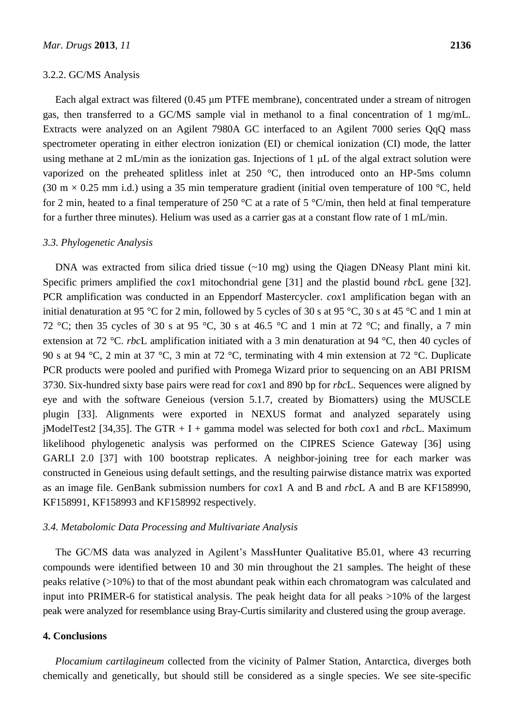#### 3.2.2. GC/MS Analysis

Each algal extract was filtered (0.45 μm PTFE membrane), concentrated under a stream of nitrogen gas, then transferred to a GC/MS sample vial in methanol to a final concentration of 1 mg/mL. Extracts were analyzed on an Agilent 7980A GC interfaced to an Agilent 7000 series QqQ mass spectrometer operating in either electron ionization (EI) or chemical ionization (CI) mode, the latter using methane at 2 mL/min as the ionization gas. Injections of 1 μL of the algal extract solution were vaporized on the preheated splitless inlet at  $250$  °C, then introduced onto an HP-5ms column (30 m  $\times$  0.25 mm i.d.) using a 35 min temperature gradient (initial oven temperature of 100 °C, held for 2 min, heated to a final temperature of 250  $\degree$  C at a rate of 5  $\degree$ C/min, then held at final temperature for a further three minutes). Helium was used as a carrier gas at a constant flow rate of 1 mL/min.

#### *3.3. Phylogenetic Analysis*

DNA was extracted from silica dried tissue (~10 mg) using the Qiagen DNeasy Plant mini kit. Specific primers amplified the *cox*1 mitochondrial gene [31] and the plastid bound *rbc*L gene [32]. PCR amplification was conducted in an Eppendorf Mastercycler. *cox*1 amplification began with an initial denaturation at 95 °C for 2 min, followed by 5 cycles of 30 s at 95 °C, 30 s at 45 °C and 1 min at 72 °C; then 35 cycles of 30 s at 95 °C, 30 s at 46.5 °C and 1 min at 72 °C; and finally, a 7 min extension at 72 °C. *rbc*L amplification initiated with a 3 min denaturation at 94 °C, then 40 cycles of 90 s at 94 °C, 2 min at 37 °C, 3 min at 72 °C, terminating with 4 min extension at 72 °C. Duplicate PCR products were pooled and purified with Promega Wizard prior to sequencing on an ABI PRISM 3730. Six-hundred sixty base pairs were read for *cox*1 and 890 bp for *rbc*L. Sequences were aligned by eye and with the software Geneious (version 5.1.7, created by Biomatters) using the MUSCLE plugin [33]. Alignments were exported in NEXUS format and analyzed separately using jModelTest2 [34,35]. The GTR + I + gamma model was selected for both *cox*1 and *rbc*L. Maximum likelihood phylogenetic analysis was performed on the CIPRES Science Gateway [36] using GARLI 2.0 [37] with 100 bootstrap replicates. A neighbor-joining tree for each marker was constructed in Geneious using default settings, and the resulting pairwise distance matrix was exported as an image file. GenBank submission numbers for *cox*1 A and B and *rbc*L A and B are KF158990, KF158991, KF158993 and KF158992 respectively.

#### *3.4. Metabolomic Data Processing and Multivariate Analysis*

The GC/MS data was analyzed in Agilent's MassHunter Qualitative B5.01, where 43 recurring compounds were identified between 10 and 30 min throughout the 21 samples. The height of these peaks relative (>10%) to that of the most abundant peak within each chromatogram was calculated and input into PRIMER-6 for statistical analysis. The peak height data for all peaks >10% of the largest peak were analyzed for resemblance using Bray-Curtis similarity and clustered using the group average.

### **4. Conclusions**

*Plocamium cartilagineum* collected from the vicinity of Palmer Station, Antarctica, diverges both chemically and genetically, but should still be considered as a single species. We see site-specific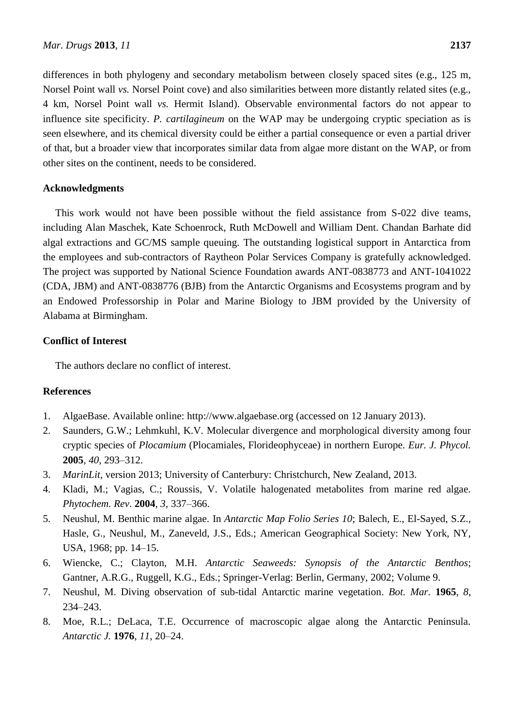differences in both phylogeny and secondary metabolism between closely spaced sites (e.g., 125 m, Norsel Point wall *vs.* Norsel Point cove) and also similarities between more distantly related sites (e.g., 4 km, Norsel Point wall *vs.* Hermit Island). Observable environmental factors do not appear to influence site specificity. *P. cartilagineum* on the WAP may be undergoing cryptic speciation as is seen elsewhere, and its chemical diversity could be either a partial consequence or even a partial driver of that, but a broader view that incorporates similar data from algae more distant on the WAP, or from other sites on the continent, needs to be considered.

### **Acknowledgments**

This work would not have been possible without the field assistance from S-022 dive teams, including Alan Maschek, Kate Schoenrock, Ruth McDowell and William Dent. Chandan Barhate did algal extractions and GC/MS sample queuing. The outstanding logistical support in Antarctica from the employees and sub-contractors of Raytheon Polar Services Company is gratefully acknowledged. The project was supported by National Science Foundation awards ANT-0838773 and ANT-1041022 (CDA, JBM) and ANT-0838776 (BJB) from the Antarctic Organisms and Ecosystems program and by an Endowed Professorship in Polar and Marine Biology to JBM provided by the University of Alabama at Birmingham.

### **Conflict of Interest**

The authors declare no conflict of interest.

## **References**

- 1. AlgaeBase. Available online: http://www.algaebase.org (accessed on 12 January 2013).
- 2. Saunders, G.W.; Lehmkuhl, K.V. Molecular divergence and morphological diversity among four cryptic species of *Plocamium* (Plocamiales, Florideophyceae) in northern Europe. *Eur. J. Phycol.* **2005**, *40*, 293–312.
- 3. *MarinLit*, version 2013; University of Canterbury: Christchurch, New Zealand, 2013.
- 4. Kladi, M.; Vagias, C.; Roussis, V. Volatile halogenated metabolites from marine red algae. *Phytochem. Rev*. **2004**, *3*, 337–366.
- 5. Neushul, M. Benthic marine algae. In *Antarctic Map Folio Series 10*; Balech, E., El-Sayed, S.Z., Hasle, G., Neushul, M., Zaneveld, J.S., Eds.; American Geographical Society: New York, NY, USA, 1968; pp. 14–15.
- 6. Wiencke, C.; Clayton, M.H. *Antarctic Seaweeds: Synopsis of the Antarctic Benthos*; Gantner, A.R.G., Ruggell, K.G., Eds.; Springer-Verlag: Berlin, Germany, 2002; Volume 9.
- 7. Neushul, M. Diving observation of sub-tidal Antarctic marine vegetation. *Bot. Mar.* **1965**, *8*, 234–243.
- 8. Moe, R.L.; DeLaca, T.E. Occurrence of macroscopic algae along the Antarctic Peninsula. *Antarctic J.* **1976**, *11*, 20–24.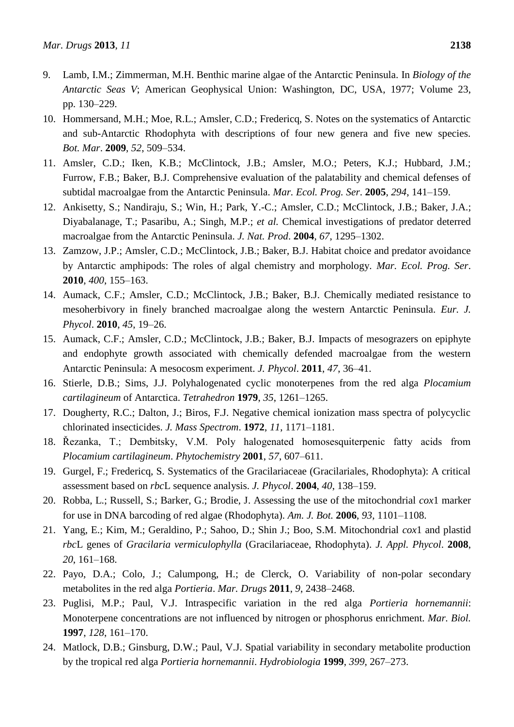- 9. Lamb, I.M.; Zimmerman, M.H. Benthic marine algae of the Antarctic Peninsula. In *Biology of the Antarctic Seas V*; American Geophysical Union: Washington, DC, USA, 1977; Volume 23, pp. 130–229.
- 10. Hommersand, M.H.; Moe, R.L.; Amsler, C.D.; Fredericq, S. Notes on the systematics of Antarctic and sub-Antarctic Rhodophyta with descriptions of four new genera and five new species. *Bot. Mar*. **2009**, *52*, 509–534.
- 11. Amsler, C.D.; Iken, K.B.; McClintock, J.B.; Amsler, M.O.; Peters, K.J.; Hubbard, J.M.; Furrow, F.B.; Baker, B.J. Comprehensive evaluation of the palatability and chemical defenses of subtidal macroalgae from the Antarctic Peninsula. *Mar. Ecol. Prog. Ser*. **2005**, *294*, 141–159.
- 12. Ankisetty, S.; Nandiraju, S.; Win, H.; Park, Y.-C.; Amsler, C.D.; McClintock, J.B.; Baker, J.A.; Diyabalanage, T.; Pasaribu, A.; Singh, M.P.; *et al.* Chemical investigations of predator deterred macroalgae from the Antarctic Peninsula. *J. Nat. Prod*. **2004**, *67*, 1295–1302.
- 13. Zamzow, J.P.; Amsler, C.D.; McClintock, J.B.; Baker, B.J. Habitat choice and predator avoidance by Antarctic amphipods: The roles of algal chemistry and morphology. *Mar. Ecol. Prog. Ser*. **2010**, *400*, 155–163.
- 14. Aumack, C.F.; Amsler, C.D.; McClintock, J.B.; Baker, B.J. Chemically mediated resistance to mesoherbivory in finely branched macroalgae along the western Antarctic Peninsula. *Eur. J. Phycol*. **2010**, *45*, 19–26.
- 15. Aumack, C.F.; Amsler, C.D.; McClintock, J.B.; Baker, B.J. Impacts of mesograzers on epiphyte and endophyte growth associated with chemically defended macroalgae from the western Antarctic Peninsula: A mesocosm experiment. *J. Phycol*. **2011**, *47*, 36–41.
- 16. Stierle, D.B.; Sims, J.J. Polyhalogenated cyclic monoterpenes from the red alga *Plocamium cartilagineum* of Antarctica. *Tetrahedron* **1979**, *35*, 1261–1265.
- 17. Dougherty, R.C.; Dalton, J.; Biros, F.J. Negative chemical ionization mass spectra of polycyclic chlorinated insecticides. *J. Mass Spectrom*. **1972**, *11*, 1171–1181.
- 18. Řezanka, T.; Dembitsky, V.M. Poly halogenated homosesquiterpenic fatty acids from *Plocamium cartilagineum*. *Phytochemistry* **2001**, *57*, 607–611.
- 19. Gurgel, F.; Fredericq, S. Systematics of the Gracilariaceae (Gracilariales, Rhodophyta): A critical assessment based on *rbc*L sequence analysis. *J. Phycol*. **2004**, *40*, 138–159.
- 20. Robba, L.; Russell, S.; Barker, G.; Brodie, J. Assessing the use of the mitochondrial *cox*1 marker for use in DNA barcoding of red algae (Rhodophyta). *Am. J. Bot.* **2006**, *93*, 1101–1108.
- 21. Yang, E.; Kim, M.; Geraldino, P.; Sahoo, D.; Shin J.; Boo, S.M. Mitochondrial *cox*1 and plastid *rbc*L genes of *Gracilaria vermiculophylla* (Gracilariaceae, Rhodophyta). *J. Appl. Phycol*. **2008**, *20*, 161–168.
- 22. Payo, D.A.; Colo, J.; Calumpong, H.; de Clerck, O. Variability of non-polar secondary metabolites in the red alga *Portieria*. *Mar. Drugs* **2011**, *9*, 2438–2468.
- 23. Puglisi, M.P.; Paul, V.J. Intraspecific variation in the red alga *Portieria hornemannii*: Monoterpene concentrations are not influenced by nitrogen or phosphorus enrichment. *Mar. Biol.*  **1997**, *128*, 161–170.
- 24. Matlock, D.B.; Ginsburg, D.W.; Paul, V.J. Spatial variability in secondary metabolite production by the tropical red alga *Portieria hornemannii*. *Hydrobiologia* **1999**, *399*, 267–273.